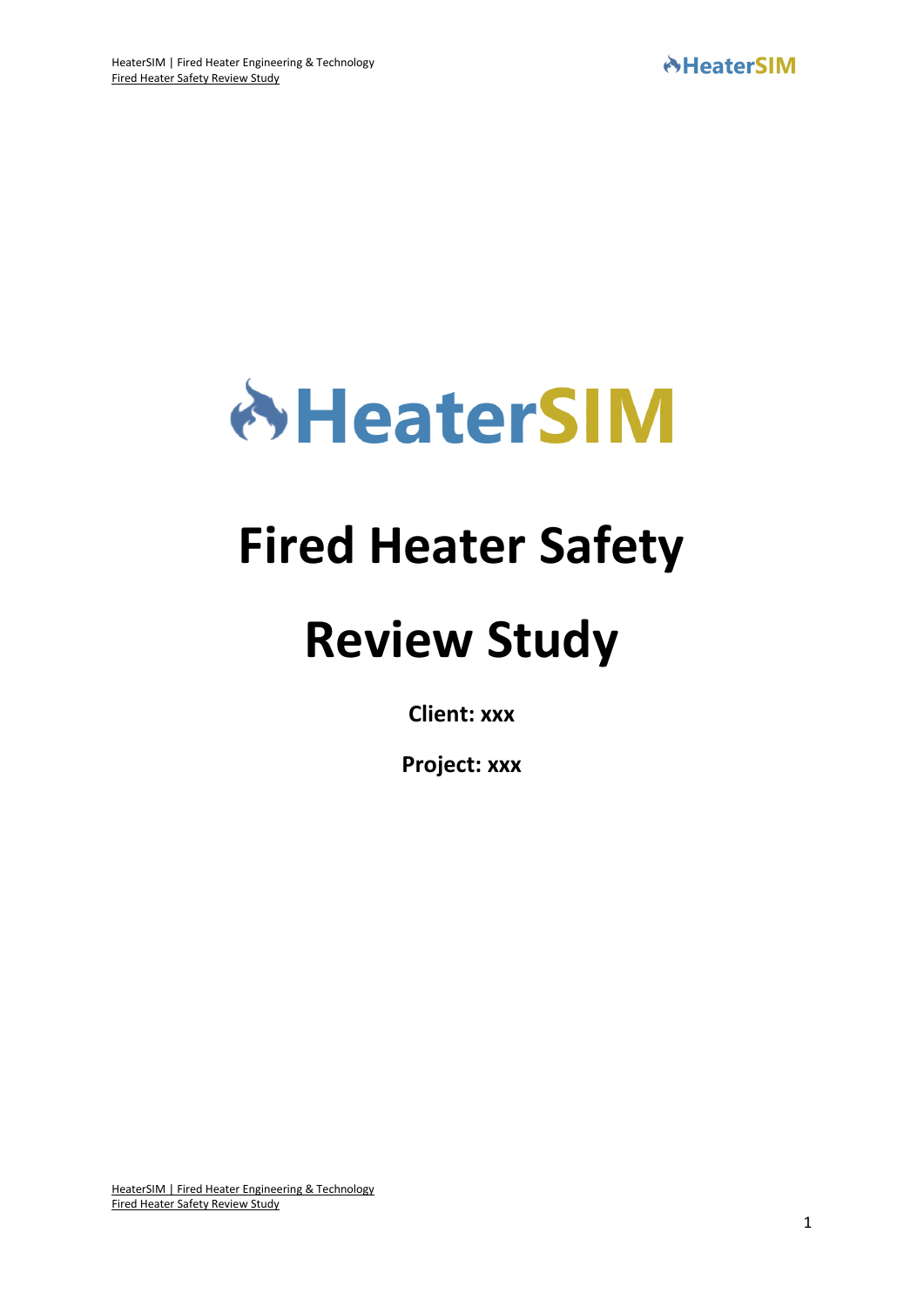

# **Fired Heater Safety**

# **Review Study**

**Client: xxx**

**Project: xxx**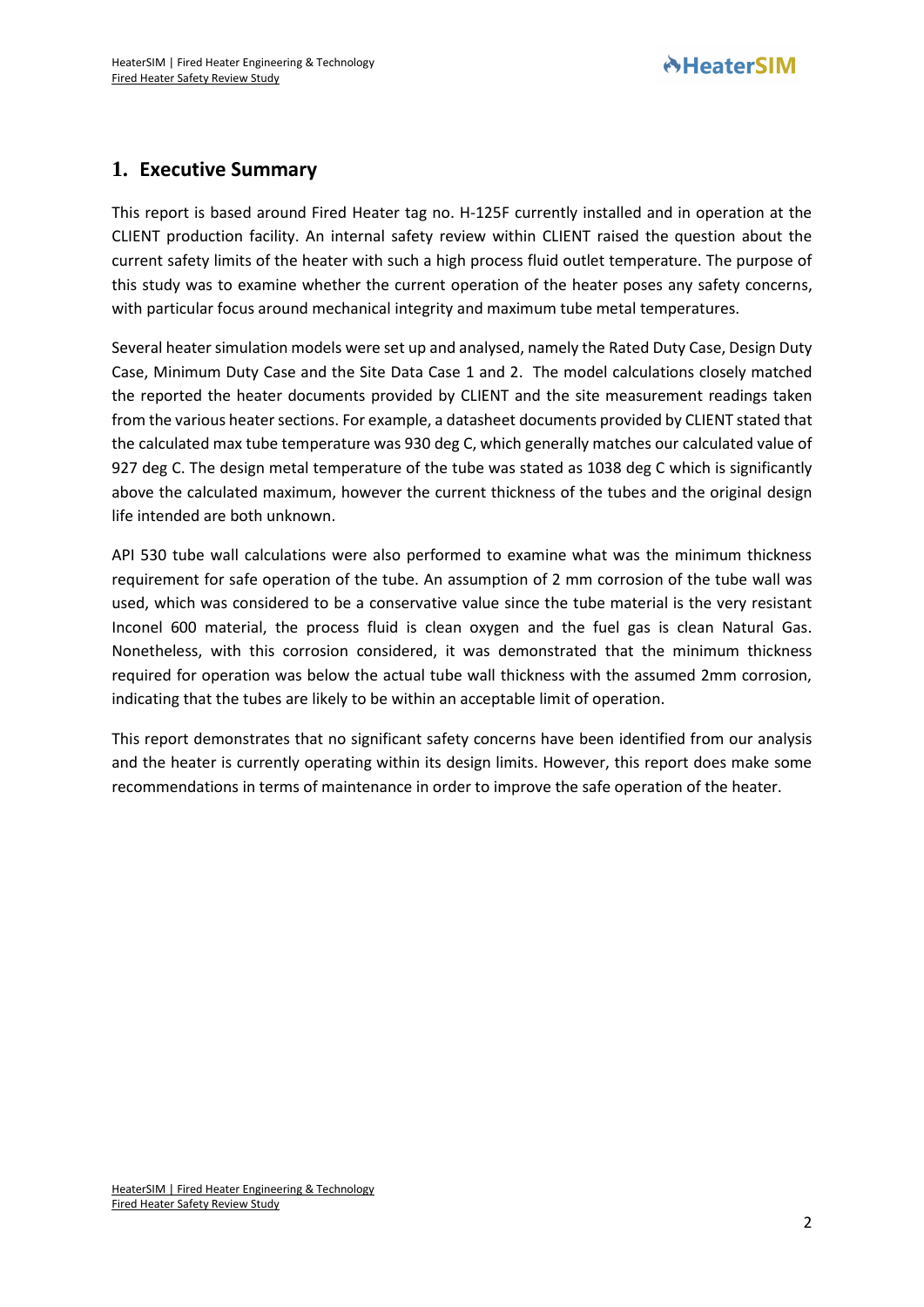# **AHeaterSIM**

# **1. Executive Summary**

This report is based around Fired Heater tag no. H-125F currently installed and in operation at the CLIENT production facility. An internal safety review within CLIENT raised the question about the current safety limits of the heater with such a high process fluid outlet temperature. The purpose of this study was to examine whether the current operation of the heater poses any safety concerns, with particular focus around mechanical integrity and maximum tube metal temperatures.

Several heater simulation models were set up and analysed, namely the Rated Duty Case, Design Duty Case, Minimum Duty Case and the Site Data Case 1 and 2. The model calculations closely matched the reported the heater documents provided by CLIENT and the site measurement readings taken from the various heater sections. For example, a datasheet documents provided by CLIENT stated that the calculated max tube temperature was 930 deg C, which generally matches our calculated value of 927 deg C. The design metal temperature of the tube was stated as 1038 deg C which is significantly above the calculated maximum, however the current thickness of the tubes and the original design life intended are both unknown.

API 530 tube wall calculations were also performed to examine what was the minimum thickness requirement for safe operation of the tube. An assumption of 2 mm corrosion of the tube wall was used, which was considered to be a conservative value since the tube material is the very resistant Inconel 600 material, the process fluid is clean oxygen and the fuel gas is clean Natural Gas. Nonetheless, with this corrosion considered, it was demonstrated that the minimum thickness required for operation was below the actual tube wall thickness with the assumed 2mm corrosion, indicating that the tubes are likely to be within an acceptable limit of operation.

This report demonstrates that no significant safety concerns have been identified from our analysis and the heater is currently operating within its design limits. However, this report does make some recommendations in terms of maintenance in order to improve the safe operation of the heater.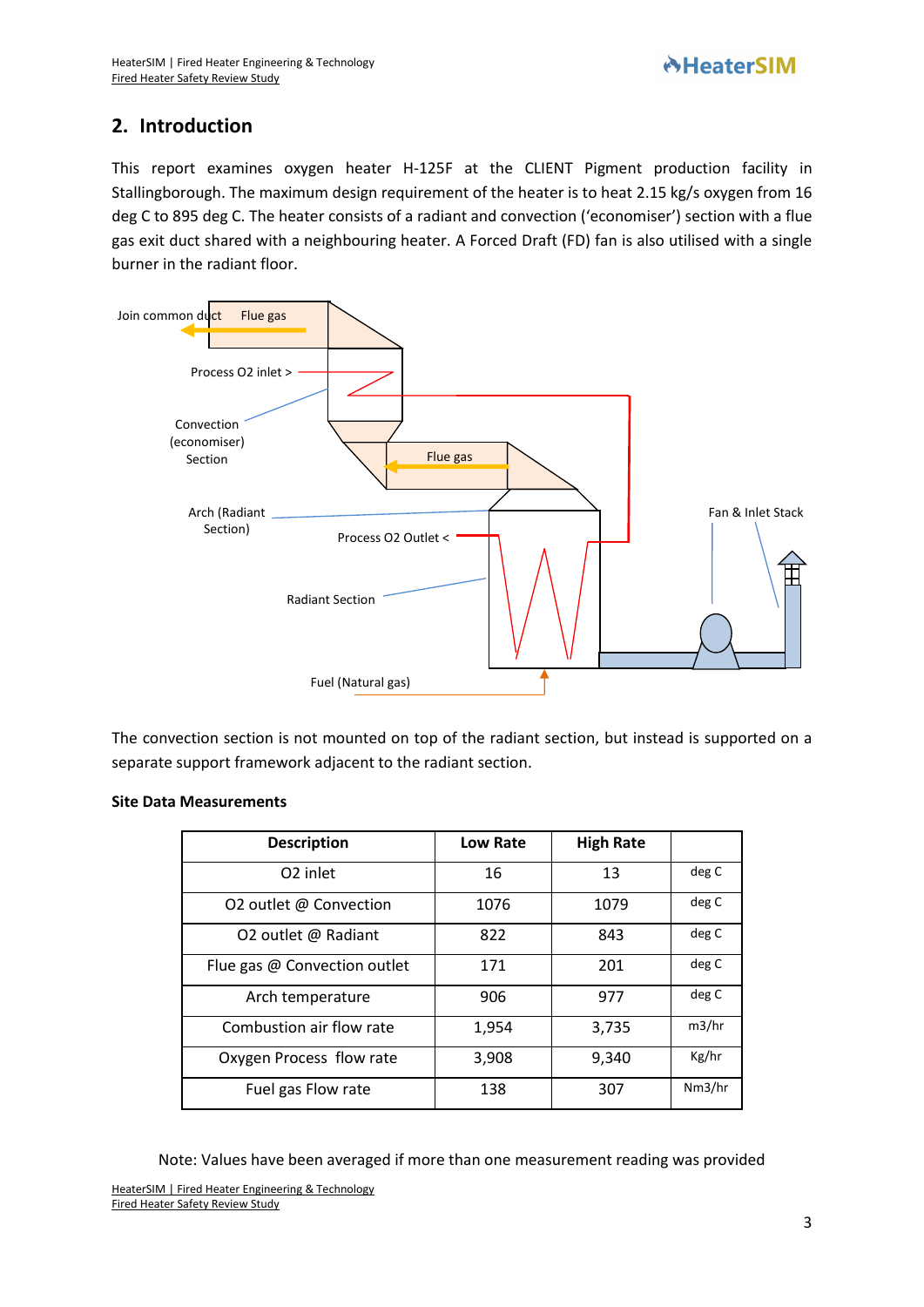## **2. Introduction**

This report examines oxygen heater H-125F at the CLIENT Pigment production facility in Stallingborough. The maximum design requirement of the heater is to heat 2.15 kg/s oxygen from 16 deg C to 895 deg C. The heater consists of a radiant and convection ('economiser') section with a flue gas exit duct shared with a neighbouring heater. A Forced Draft (FD) fan is also utilised with a single burner in the radiant floor.



The convection section is not mounted on top of the radiant section, but instead is supported on a separate support framework adjacent to the radiant section.

#### **Site Data Measurements**

| <b>Description</b>           | Low Rate | <b>High Rate</b> |        |
|------------------------------|----------|------------------|--------|
| O <sub>2</sub> inlet         | 16       | 13               | deg C  |
| O2 outlet @ Convection       | 1076     | 1079             | deg C  |
| O2 outlet @ Radiant          | 822      | 843              | deg C  |
| Flue gas @ Convection outlet | 171      | 201              | deg C  |
| Arch temperature             | 906      | 977              | deg C  |
| Combustion air flow rate     | 1,954    | 3,735            | m3/hr  |
| Oxygen Process flow rate     | 3,908    | 9,340            | Kg/hr  |
| Fuel gas Flow rate           | 138      | 307              | Nm3/hr |

Note: Values have been averaged if more than one measurement reading was provided

HeaterSIM [| Fired Heater Engineering & Technology](https://www.heatersim.com/) [Fired Heater Safety Review Study](https://www.heatersim.com/)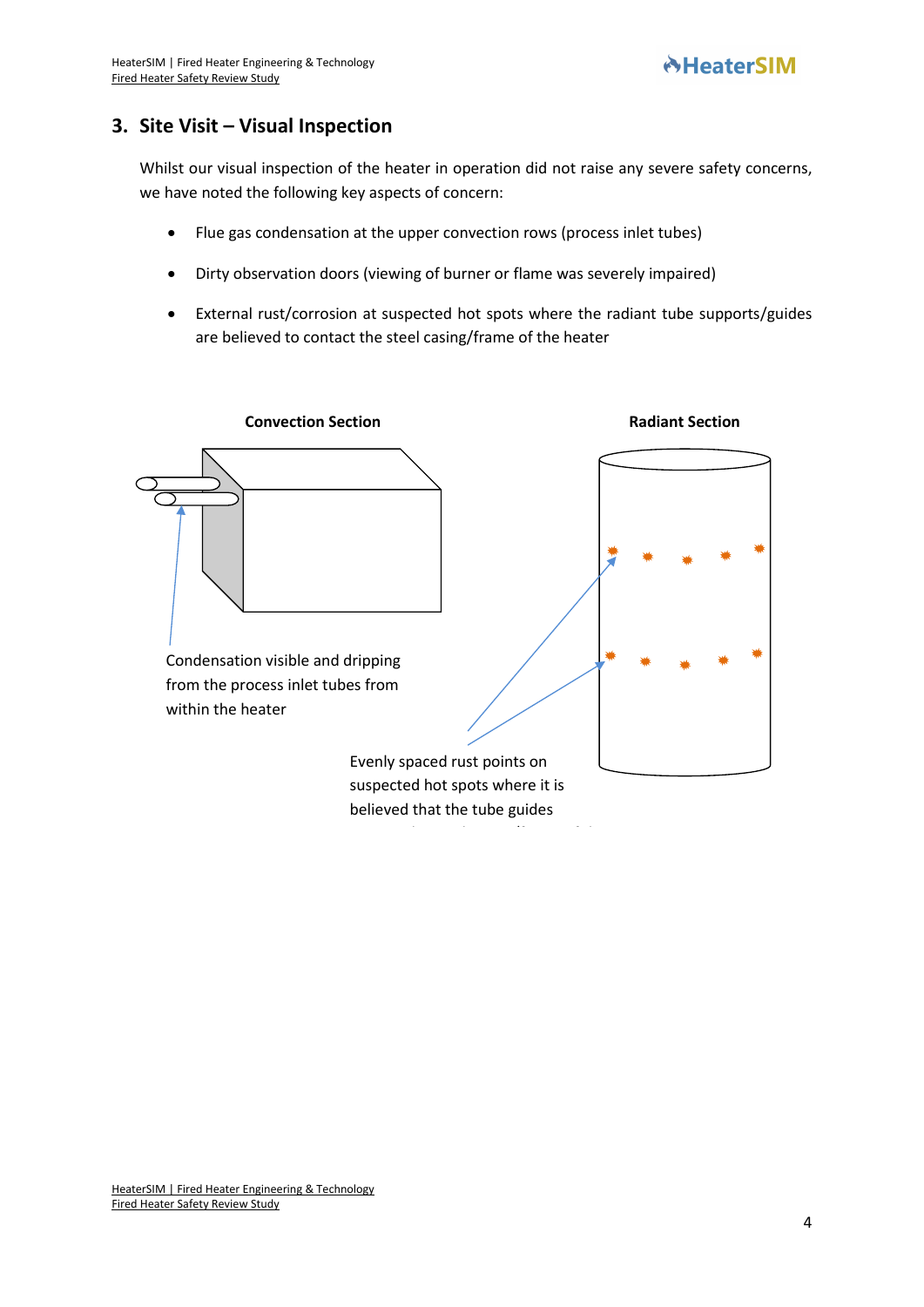# **3. Site Visit – Visual Inspection**

Whilst our visual inspection of the heater in operation did not raise any severe safety concerns, we have noted the following key aspects of concern:

- Flue gas condensation at the upper convection rows (process inlet tubes)
- Dirty observation doors (viewing of burner or flame was severely impaired)
- External rust/corrosion at suspected hot spots where the radiant tube supports/guides are believed to contact the steel casing/frame of the heater

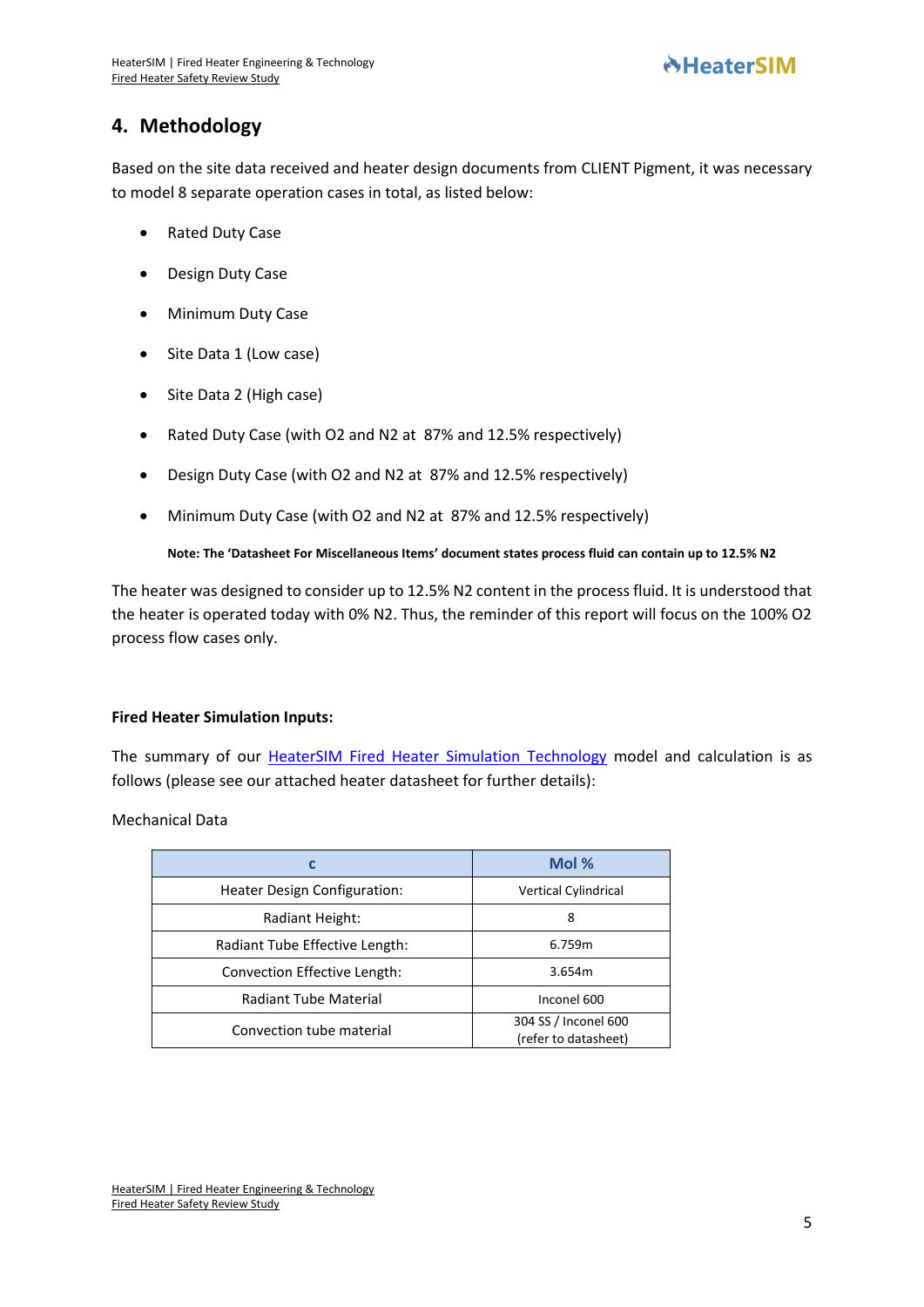# **4. Methodology**

Based on the site data received and heater design documents from CLIENT Pigment, it was necessary to model 8 separate operation cases in total, as listed below:

- Rated Duty Case
- Design Duty Case
- Minimum Duty Case
- Site Data 1 (Low case)
- Site Data 2 (High case)
- Rated Duty Case (with O2 and N2 at 87% and 12.5% respectively)
- Design Duty Case (with O2 and N2 at 87% and 12.5% respectively)
- Minimum Duty Case (with O2 and N2 at 87% and 12.5% respectively)

## **Note: The 'Datasheet For Miscellaneous Items' document states process fluid can contain up to 12.5% N2**

The heater was designed to consider up to 12.5% N2 content in the process fluid. It is understood that the heater is operated today with 0% N2. Thus, the reminder of this report will focus on the 100% O2 process flow cases only.

## **Fired Heater Simulation Inputs:**

The summary of our [HeaterSIM Fired Heater Simulation](https://www.heatersim.com/fired_heater/simulation?new-model) Technology model and calculation is as follows (please see our attached heater datasheet for further details):

Mechanical Data

|                                | Mol %                                        |
|--------------------------------|----------------------------------------------|
| Heater Design Configuration:   | Vertical Cylindrical                         |
| Radiant Height:                | 8                                            |
| Radiant Tube Effective Length: | 6.759m                                       |
| Convection Effective Length:   | 3.654m                                       |
| <b>Radiant Tube Material</b>   | Inconel 600                                  |
| Convection tube material       | 304 SS / Inconel 600<br>(refer to datasheet) |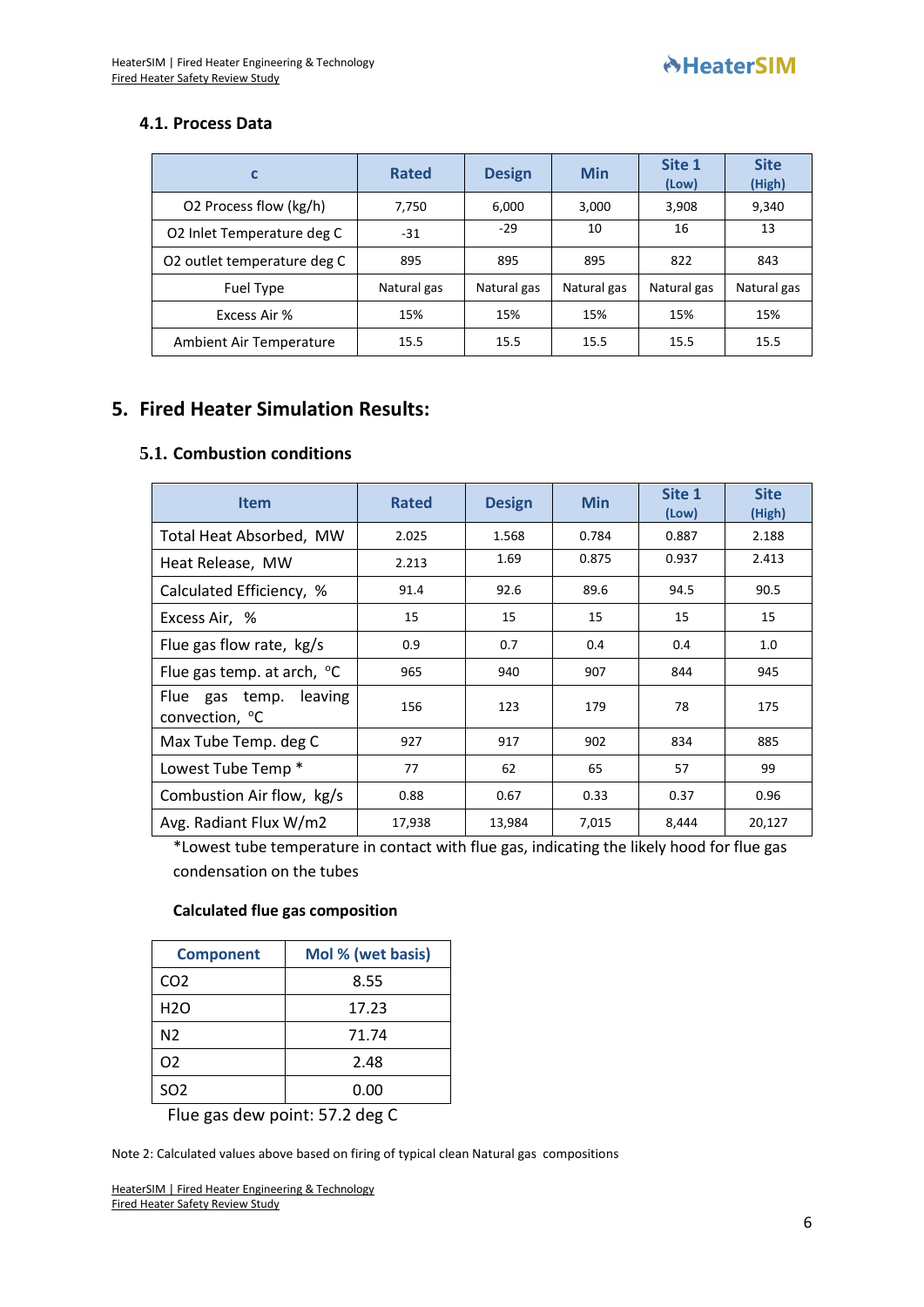## **4.1. Process Data**

|                             | <b>Rated</b> | <b>Design</b> | <b>Min</b>  | Site 1<br>(Low) | <b>Site</b><br>(High) |
|-----------------------------|--------------|---------------|-------------|-----------------|-----------------------|
| O2 Process flow (kg/h)      | 7,750        | 6,000         | 3,000       | 3,908           | 9,340                 |
| O2 Inlet Temperature deg C  | $-31$        | $-29$         | 10          | 16              | 13                    |
| O2 outlet temperature deg C | 895          | 895           | 895         | 822             | 843                   |
| Fuel Type                   | Natural gas  | Natural gas   | Natural gas | Natural gas     | Natural gas           |
| Excess Air %                | 15%          | 15%           | 15%         | 15%             | 15%                   |
| Ambient Air Temperature     | 15.5         | 15.5          | 15.5        | 15.5            | 15.5                  |

# **5. Fired Heater Simulation Results:**

## **5.1. Combustion conditions**

| <b>Item</b>                                             | <b>Rated</b> | <b>Design</b> | <b>Min</b> | Site 1<br>(Low) | <b>Site</b><br>(High) |
|---------------------------------------------------------|--------------|---------------|------------|-----------------|-----------------------|
| Total Heat Absorbed, MW                                 | 2.025        | 1.568         | 0.784      | 0.887           | 2.188                 |
| Heat Release, MW                                        | 2.213        | 1.69          | 0.875      | 0.937           | 2.413                 |
| Calculated Efficiency, %                                | 91.4         | 92.6          | 89.6       | 94.5            | 90.5                  |
| Excess Air, %                                           | 15           | 15            | 15         | 15              | 15                    |
| Flue gas flow rate, kg/s                                | 0.9          | 0.7           | 0.4        | 0.4             | 1.0                   |
| Flue gas temp. at arch, $\degree$ C                     | 965          | 940           | 907        | 844             | 945                   |
| leaving<br>Flue gas temp.<br>convection, <sup>o</sup> C | 156          | 123           | 179        | 78              | 175                   |
| Max Tube Temp. deg C                                    | 927          | 917           | 902        | 834             | 885                   |
| Lowest Tube Temp *                                      | 77           | 62            | 65         | 57              | 99                    |
| Combustion Air flow, kg/s                               | 0.88         | 0.67          | 0.33       | 0.37            | 0.96                  |
| Avg. Radiant Flux W/m2                                  | 17,938       | 13,984        | 7,015      | 8,444           | 20,127                |

\*Lowest tube temperature in contact with flue gas, indicating the likely hood for flue gas condensation on the tubes

## **Calculated flue gas composition**

| <b>Component</b> | Mol % (wet basis) |
|------------------|-------------------|
| CO <sub>2</sub>  | 8.55              |
| H <sub>2</sub> O | 17.23             |
| N <sub>2</sub>   | 71.74             |
| O <sub>2</sub>   | 2.48              |
| SO <sub>2</sub>  | 0.00              |

Flue gas dew point: 57.2 deg C

Note 2: Calculated values above based on firing of typical clean Natural gas compositions

HeaterSIM [| Fired Heater Engineering & Technology](https://www.heatersim.com/) [Fired Heater Safety Review Study](https://www.heatersim.com/)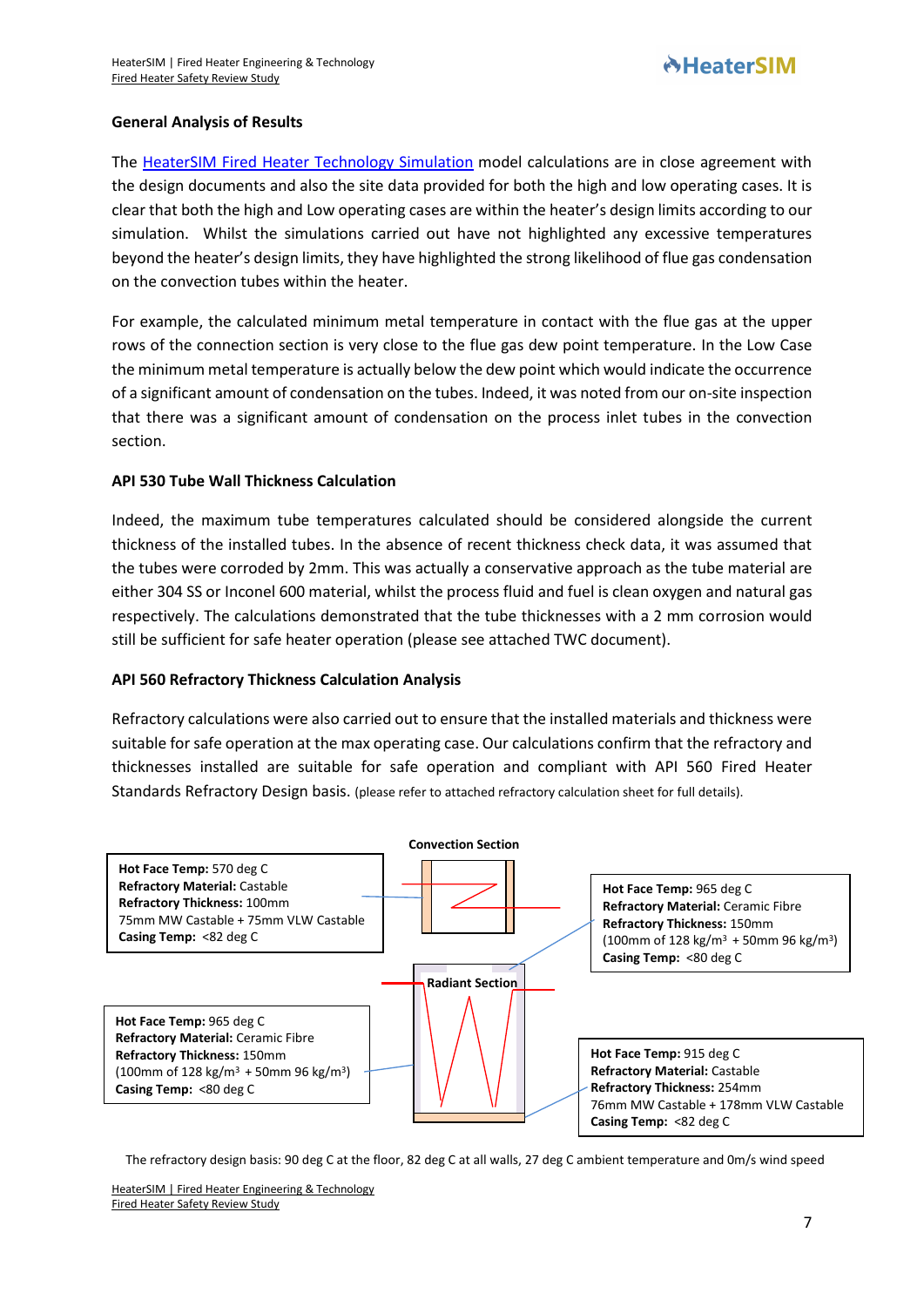## **General Analysis of Results**

The [HeaterSIM Fired Heater Technology Simulation](https://www.heatersim.com/fired_heater/simulation?new-model) model calculations are in close agreement with the design documents and also the site data provided for both the high and low operating cases. It is clear that both the high and Low operating cases are within the heater's design limits according to our simulation. Whilst the simulations carried out have not highlighted any excessive temperatures beyond the heater's design limits, they have highlighted the strong likelihood of flue gas condensation on the convection tubes within the heater.

For example, the calculated minimum metal temperature in contact with the flue gas at the upper rows of the connection section is very close to the flue gas dew point temperature. In the Low Case the minimum metal temperature is actually below the dew point which would indicate the occurrence of a significant amount of condensation on the tubes. Indeed, it was noted from our on-site inspection that there was a significant amount of condensation on the process inlet tubes in the convection section.

## **API 530 Tube Wall Thickness Calculation**

Indeed, the maximum tube temperatures calculated should be considered alongside the current thickness of the installed tubes. In the absence of recent thickness check data, it was assumed that the tubes were corroded by 2mm. This was actually a conservative approach as the tube material are either 304 SS or Inconel 600 material, whilst the process fluid and fuel is clean oxygen and natural gas respectively. The calculations demonstrated that the tube thicknesses with a 2 mm corrosion would still be sufficient for safe heater operation (please see attached TWC document).

#### **API 560 Refractory Thickness Calculation Analysis**

Refractory calculations were also carried out to ensure that the installed materials and thickness were suitable for safe operation at the max operating case. Our calculations confirm that the refractory and thicknesses installed are suitable for safe operation and compliant with API 560 Fired Heater Standards Refractory Design basis. (please refer to attached refractory calculation sheet for full details).



The refractory design basis: 90 deg C at the floor, 82 deg C at all walls, 27 deg C ambient temperature and 0m/s wind speed

HeaterSIM [| Fired Heater Engineering & Technology](https://www.heatersim.com/) [Fired Heater Safety Review Study](https://www.heatersim.com/)